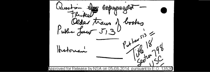**ITALIAN TDPAS8** traus books Older Kukhe Lee  $\mathcal{F}$ .  $\mathcal{D}$ N r wr haw orsa 0Ľ 3526 nı